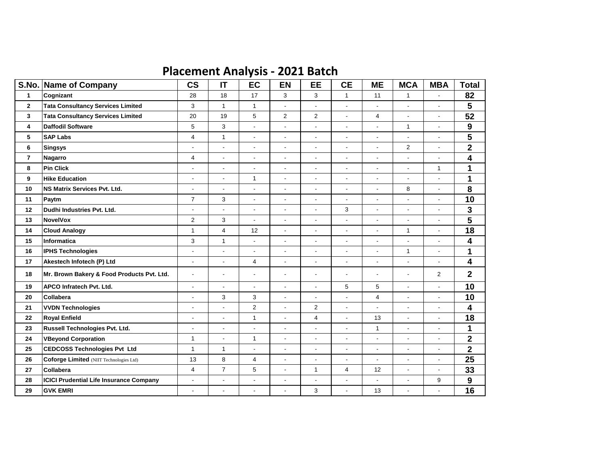## **Placement Analysis - 2021 Batch**

| S.No.          | <b>Name of Company</b>                         | $\mathsf{CS}\phantom{0}$ | IT                       | EC                       | <b>EN</b>                | EE                       | <b>CE</b>                | <b>ME</b>                | <b>MCA</b>               | <b>MBA</b>     | <b>Total</b>            |
|----------------|------------------------------------------------|--------------------------|--------------------------|--------------------------|--------------------------|--------------------------|--------------------------|--------------------------|--------------------------|----------------|-------------------------|
| $\mathbf{1}$   | Cognizant                                      | 28                       | 18                       | 17                       | 3                        | 3                        | $\mathbf{1}$             | 11                       | $\mathbf{1}$             | $\overline{a}$ | 82                      |
| $\mathbf 2$    | <b>Tata Consultancy Services Limited</b>       | 3                        | $\mathbf{1}$             | $\mathbf{1}$             | $\blacksquare$           | ÷.                       | $\blacksquare$           | $\blacksquare$           | $\blacksquare$           | $\overline{a}$ | 5                       |
| 3              | <b>Tata Consultancy Services Limited</b>       | 20                       | 19                       | 5                        | $\overline{2}$           | $\overline{2}$           | $\blacksquare$           | $\overline{4}$           | $\blacksquare$           | $\blacksquare$ | 52                      |
| 4              | <b>Daffodil Software</b>                       | 5                        | 3                        | $\overline{a}$           | $\overline{\phantom{a}}$ | $\overline{a}$           | $\blacksquare$           | ä,                       | $\mathbf{1}$             | $\overline{a}$ | $\boldsymbol{9}$        |
| 5              | <b>SAP Labs</b>                                | $\overline{4}$           | $\mathbf{1}$             | $\blacksquare$           | $\blacksquare$           | ÷.                       | $\blacksquare$           | $\overline{a}$           | $\blacksquare$           | ÷,             | 5                       |
| 6              | <b>Singsys</b>                                 | $\overline{a}$           |                          | $\overline{\phantom{a}}$ | $\blacksquare$           | $\overline{a}$           | $\blacksquare$           | $\blacksquare$           | 2                        | Ĭ.             | $\overline{\mathbf{2}}$ |
| $\overline{7}$ | Nagarro                                        | 4                        | $\blacksquare$           | $\overline{\phantom{a}}$ | $\overline{\phantom{a}}$ | $\blacksquare$           | $\blacksquare$           | $\blacksquare$           | $\blacksquare$           | $\overline{a}$ | 4                       |
| 8              | <b>Pin Click</b>                               | $\overline{a}$           | $\overline{a}$           | $\overline{\phantom{a}}$ | $\blacksquare$           | $\overline{a}$           | $\blacksquare$           | $\blacksquare$           | $\blacksquare$           | $\mathbf{1}$   | 1                       |
| 9              | <b>Hike Education</b>                          | $\overline{a}$           | $\blacksquare$           | $\mathbf{1}$             | $\blacksquare$           | $\overline{a}$           | $\blacksquare$           | $\blacksquare$           | $\blacksquare$           | $\overline{a}$ | 1                       |
| 10             | <b>NS Matrix Services Pvt. Ltd.</b>            | ÷,                       | $\overline{a}$           | $\blacksquare$           | $\blacksquare$           | $\overline{a}$           | $\blacksquare$           | $\overline{a}$           | 8                        | $\overline{a}$ | 8                       |
| 11             | Paytm                                          | $\overline{7}$           | 3                        | $\overline{\phantom{a}}$ | $\blacksquare$           | $\blacksquare$           | $\blacksquare$           | $\blacksquare$           | $\blacksquare$           | $\overline{a}$ | 10                      |
| 12             | Dudhi Industries Pvt. Ltd.                     | $\overline{a}$           | $\blacksquare$           | $\blacksquare$           | $\blacksquare$           | $\overline{a}$           | 3                        | $\overline{a}$           | $\blacksquare$           | $\overline{a}$ | 3                       |
| 13             | <b>NovelVox</b>                                | $\overline{c}$           | 3                        | $\blacksquare$           | $\blacksquare$           | $\blacksquare$           | $\blacksquare$           | $\blacksquare$           | $\blacksquare$           | $\overline{a}$ | $\overline{\mathbf{5}}$ |
| 14             | <b>Cloud Analogy</b>                           | $\mathbf{1}$             | $\overline{4}$           | 12                       | $\Box$                   | ä,                       | $\blacksquare$           | $\overline{a}$           | $\mathbf{1}$             | $\blacksquare$ | 18                      |
| 15             | <b>Informatica</b>                             | 3                        | $\mathbf{1}$             | $\overline{a}$           | $\blacksquare$           | $\overline{a}$           | $\blacksquare$           | ä,                       | $\blacksquare$           | L,             | 4                       |
| 16             | <b>IPHS Technologies</b>                       | $\blacksquare$           | $\blacksquare$           | $\blacksquare$           | $\blacksquare$           | $\blacksquare$           | $\blacksquare$           | $\blacksquare$           | $\mathbf{1}$             | ÷,             | 1                       |
| 17             | Akestech Infotech (P) Ltd                      | $\overline{\phantom{a}}$ | $\overline{\phantom{a}}$ | 4                        | $\overline{\phantom{a}}$ | $\overline{\phantom{a}}$ | $\overline{\phantom{a}}$ | $\overline{\phantom{a}}$ | $\overline{\phantom{a}}$ | Ĭ.             | 4                       |
| 18             | Mr. Brown Bakery & Food Products Pvt. Ltd.     | $\blacksquare$           | $\blacksquare$           | $\blacksquare$           | $\blacksquare$           | $\blacksquare$           | $\blacksquare$           | $\blacksquare$           | $\blacksquare$           | 2              | $\mathbf 2$             |
| 19             | APCO Infratech Pvt. Ltd.                       | $\overline{a}$           | $\blacksquare$           | $\blacksquare$           | $\blacksquare$           | $\overline{a}$           | 5                        | 5                        | $\blacksquare$           | L,             | 10                      |
| 20             | Collabera                                      | $\overline{a}$           | 3                        | 3                        | $\overline{a}$           | $\overline{a}$           | $\overline{a}$           | $\overline{4}$           | $\overline{a}$           | $\overline{a}$ | 10                      |
| 21             | <b>VVDN Technologies</b>                       | $\overline{a}$           | $\overline{a}$           | 2                        | $\overline{a}$           | $\overline{2}$           | $\blacksquare$           | $\overline{a}$           | $\overline{\phantom{a}}$ | $\overline{a}$ | 4                       |
| 22             | <b>Royal Enfield</b>                           | $\overline{a}$           | $\blacksquare$           | $\mathbf{1}$             | $\blacksquare$           | $\overline{4}$           | $\blacksquare$           | 13                       | $\blacksquare$           | $\overline{a}$ | 18                      |
| 23             | Russell Technologies Pvt. Ltd.                 | $\overline{a}$           | $\blacksquare$           | $\blacksquare$           | $\overline{\phantom{a}}$ | $\overline{a}$           | $\blacksquare$           | $\mathbf{1}$             | $\blacksquare$           | $\overline{a}$ | 1                       |
| 24             | <b>VBeyond Corporation</b>                     | 1                        | $\blacksquare$           | $\mathbf{1}$             | $\blacksquare$           | $\overline{\phantom{a}}$ | $\blacksquare$           | $\blacksquare$           | $\blacksquare$           | $\overline{a}$ | $\mathbf 2$             |
| 25             | <b>CEDCOSS Technologies Pvt Ltd</b>            | $\mathbf{1}$             | $\mathbf{1}$             | $\Box$                   | $\blacksquare$           | ÷.                       | $\overline{\phantom{a}}$ | $\overline{a}$           | $\overline{\phantom{a}}$ | $\blacksquare$ | $\overline{\mathbf{2}}$ |
| 26             | Coforge Limited (NIIT Technologies Ltd)        | 13                       | 8                        | $\overline{4}$           | $\overline{\phantom{a}}$ | $\overline{a}$           | $\blacksquare$           |                          | $\overline{\phantom{a}}$ | $\overline{a}$ | 25                      |
| 27             | Collabera                                      | 4                        | $\overline{7}$           | 5                        | $\blacksquare$           | $\mathbf{1}$             | $\overline{4}$           | 12                       | $\blacksquare$           | $\blacksquare$ | 33                      |
| 28             | <b>ICICI Prudential Life Insurance Company</b> | $\overline{a}$           | $\blacksquare$           | $\overline{\phantom{a}}$ | $\blacksquare$           | $\overline{a}$           | $\blacksquare$           | ä,                       | $\overline{\phantom{a}}$ | 9              | $\boldsymbol{9}$        |
| 29             | <b>GVK EMRI</b>                                | ٠                        |                          | $\overline{\phantom{a}}$ | $\overline{\phantom{a}}$ | 3                        | $\overline{\phantom{a}}$ | 13                       | $\overline{\phantom{a}}$ | $\overline{a}$ | 16                      |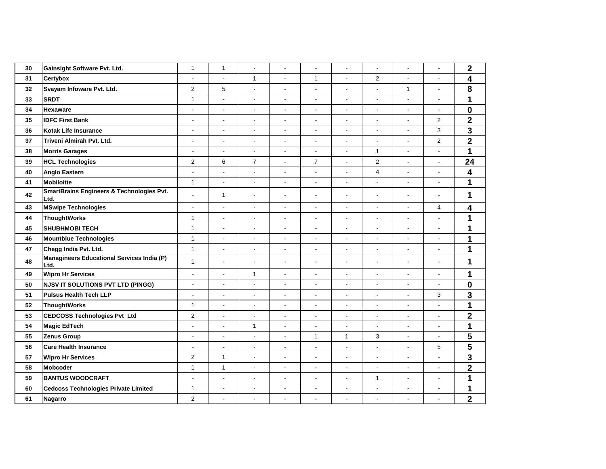| 30 | Gainsight Software Pvt. Ltd.                              | $\mathbf{1}$             | $\mathbf{1}$             | ÷,                       | ÷,                       | $\blacksquare$           | ÷,                       | ÷,                       | ÷,                       | $\Box$                   | $\mathbf 2$             |
|----|-----------------------------------------------------------|--------------------------|--------------------------|--------------------------|--------------------------|--------------------------|--------------------------|--------------------------|--------------------------|--------------------------|-------------------------|
| 31 | Certybox                                                  | $\overline{a}$           | $\overline{a}$           | $\mathbf{1}$             | $\Box$                   | $\mathbf{1}$             | ÷,                       | $\overline{2}$           | ÷,                       | $\overline{a}$           | $\overline{\mathbf{4}}$ |
| 32 | Svayam Infoware Pvt. Ltd.                                 | $\overline{2}$           | 5                        | $\blacksquare$           | $\overline{a}$           | $\overline{a}$           | $\overline{a}$           |                          | $\mathbf{1}$             | $\mathbf{r}$             | 8                       |
| 33 | <b>SRDT</b>                                               | $\mathbf{1}$             | $\overline{a}$           | ٠                        | $\overline{\phantom{a}}$ | $\blacksquare$           | $\overline{\phantom{a}}$ |                          | $\blacksquare$           | ÷,                       | $\mathbf{1}$            |
| 34 | <b>Hexaware</b>                                           | $\blacksquare$           | ÷,                       | $\blacksquare$           | ÷,                       | $\blacksquare$           | $\blacksquare$           | $\sim$                   | ÷,                       | $\mathbf{r}$             | $\pmb{0}$               |
| 35 | <b>IDFC First Bank</b>                                    | $\overline{\phantom{a}}$ | $\overline{a}$           | $\overline{\phantom{a}}$ | $\blacksquare$           | $\blacksquare$           | $\overline{\phantom{a}}$ | $\overline{\phantom{a}}$ | $\overline{\phantom{a}}$ | $\overline{2}$           | $\overline{2}$          |
| 36 | <b>Kotak Life Insurance</b>                               | $\overline{\phantom{a}}$ | $\overline{a}$           | $\overline{a}$           | $\overline{a}$           | ÷.                       | $\overline{a}$           | $\overline{a}$           | $\overline{a}$           | 3                        | 3                       |
| 37 | Triveni Almirah Pvt. Ltd.                                 | $\overline{\phantom{a}}$ | $\blacksquare$           | $\overline{\phantom{a}}$ | $\blacksquare$           | $\blacksquare$           | $\overline{\phantom{a}}$ | $\blacksquare$           | $\overline{\phantom{a}}$ | $\overline{2}$           | $\mathbf 2$             |
| 38 | <b>Morris Garages</b>                                     | $\blacksquare$           | $\blacksquare$           | $\blacksquare$           | $\blacksquare$           | $\blacksquare$           | $\blacksquare$           | $\mathbf{1}$             | ÷,                       | $\blacksquare$           | 1                       |
| 39 | <b>HCL Technologies</b>                                   | $\overline{c}$           | 6                        | $\overline{7}$           | $\blacksquare$           | $\overline{7}$           | $\overline{\phantom{a}}$ | $\overline{2}$           | $\overline{\phantom{a}}$ | $\blacksquare$           | 24                      |
| 40 | Anglo Eastern                                             | $\blacksquare$           | ÷,                       | $\blacksquare$           | ÷,                       | $\blacksquare$           | $\overline{a}$           | $\overline{4}$           | ÷,                       | $\overline{a}$           | $\overline{\mathbf{4}}$ |
| 41 | <b>Mobiloitte</b>                                         | $\mathbf{1}$             | $\overline{\phantom{a}}$ | $\overline{\phantom{a}}$ | $\overline{\phantom{a}}$ | $\blacksquare$           | $\blacksquare$           | $\blacksquare$           | $\overline{\phantom{a}}$ | $\overline{\phantom{a}}$ | 1                       |
| 42 | SmartBrains Engineers & Technologies Pvt.<br>Ltd.         | $\blacksquare$           | $\mathbf{1}$             | $\blacksquare$           | $\blacksquare$           | $\blacksquare$           | $\blacksquare$           | $\blacksquare$           | $\blacksquare$           | $\blacksquare$           | 1                       |
| 43 | <b>MSwipe Technologies</b>                                | $\blacksquare$           | $\blacksquare$           | $\overline{\phantom{a}}$ | $\overline{\phantom{a}}$ | $\blacksquare$           | $\blacksquare$           | $\blacksquare$           | $\blacksquare$           | 4                        | 4                       |
| 44 | <b>ThoughtWorks</b>                                       | $\mathbf{1}$             | $\overline{\phantom{a}}$ | $\blacksquare$           | $\blacksquare$           | $\blacksquare$           | $\blacksquare$           |                          | ÷,                       | $\overline{a}$           | 1                       |
| 45 | <b>SHUBHMOBI TECH</b>                                     | $\mathbf{1}$             | $\frac{1}{2}$            | $\overline{\phantom{a}}$ | $\blacksquare$           | $\overline{\phantom{a}}$ | $\blacksquare$           | $\overline{\phantom{a}}$ | $\blacksquare$           | $\blacksquare$           | 1                       |
| 46 | <b>Mountblue Technologies</b>                             | $\mathbf{1}$             | $\Box$                   | $\blacksquare$           | $\Box$                   | $\overline{a}$           | ÷,                       | $\sim$                   | ÷,                       | $\overline{a}$           | 1                       |
| 47 | Chegg India Pvt. Ltd.                                     | $\mathbf{1}$             | $\overline{a}$           | $\blacksquare$           | $\blacksquare$           | $\blacksquare$           | $\blacksquare$           | $\overline{a}$           | $\overline{a}$           | $\Box$                   | 1                       |
| 48 | <b>Managineers Educational Services India (P)</b><br>Ltd. | $\mathbf{1}$             | ÷,                       | $\blacksquare$           | ÷,                       | $\tilde{\phantom{a}}$    | $\overline{a}$           | $\blacksquare$           | ÷,                       | $\blacksquare$           | 1                       |
| 49 | <b>Wipro Hr Services</b>                                  | $\blacksquare$           | $\blacksquare$           | $\mathbf{1}$             | $\blacksquare$           | $\blacksquare$           | $\blacksquare$           | $\overline{\phantom{a}}$ | $\overline{\phantom{a}}$ | $\blacksquare$           | 1                       |
| 50 | <b>NJSV IT SOLUTIONS PVT LTD (PINGG)</b>                  | $\Box$                   | $\Box$                   | $\blacksquare$           | $\Box$                   | $\blacksquare$           | $\blacksquare$           | $\blacksquare$           | $\overline{\phantom{a}}$ | $\Box$                   | $\mathbf 0$             |
| 51 | <b>Pulsus Health Tech LLP</b>                             | $\Box$                   | $\mathbf{r}$             | ÷.                       | $\omega$                 | $\blacksquare$           | $\blacksquare$           | $\blacksquare$           | $\Box$                   | 3                        | 3                       |
| 52 | <b>ThoughtWorks</b>                                       | $\mathbf{1}$             | $\overline{a}$           | $\overline{\phantom{a}}$ | $\overline{a}$           | $\blacksquare$           | $\overline{a}$           |                          | ÷,                       | $\overline{a}$           | $\overline{\mathbf{1}}$ |
| 53 | <b>CEDCOSS Technologies Pvt Ltd</b>                       | $\overline{\mathbf{c}}$  | $\blacksquare$           | $\overline{\phantom{a}}$ | $\blacksquare$           | $\blacksquare$           | $\blacksquare$           | $\blacksquare$           | $\blacksquare$           | $\blacksquare$           | $\mathbf 2$             |
| 54 | Magic EdTech                                              | $\overline{a}$           | $\blacksquare$           | $\mathbf{1}$             | $\blacksquare$           | $\blacksquare$           | ÷,                       | $\blacksquare$           | $\overline{\phantom{a}}$ | $\Box$                   | $\mathbf{1}$            |
| 55 | Zenus Group                                               | $\blacksquare$           | $\overline{a}$           | $\blacksquare$           | $\blacksquare$           | $\mathbf{1}$             | $\mathbf{1}$             | 3                        | $\overline{\phantom{a}}$ | $\Box$                   | 5                       |
| 56 | <b>Care Health Insurance</b>                              | $\overline{\phantom{a}}$ | $\blacksquare$           | $\overline{\phantom{a}}$ | $\blacksquare$           | $\overline{\phantom{a}}$ | $\overline{\phantom{a}}$ |                          | $\blacksquare$           | 5                        | $\overline{\mathbf{5}}$ |
| 57 | <b>Wipro Hr Services</b>                                  | 2                        | $\mathbf{1}$             | $\overline{\phantom{a}}$ | $\blacksquare$           | $\blacksquare$           | $\blacksquare$           | $\blacksquare$           | $\blacksquare$           | $\blacksquare$           | 3                       |
| 58 | <b>Mobcoder</b>                                           | $\mathbf{1}$             | $\mathbf{1}$             | $\blacksquare$           | $\blacksquare$           | $\blacksquare$           | $\blacksquare$           | $\blacksquare$           | $\overline{\phantom{a}}$ | $\blacksquare$           | $\mathbf 2$             |
| 59 | <b>BANTUS WOODCRAFT</b>                                   | $\blacksquare$           | ÷,                       | $\blacksquare$           | $\overline{a}$           | $\blacksquare$           | $\blacksquare$           | $\mathbf{1}$             | ÷,                       | $\overline{a}$           | $\mathbf{1}$            |
| 60 | <b>Cedcoss Technologies Private Limited</b>               | $\mathbf{1}$             | $\overline{\phantom{a}}$ |                          | $\overline{\phantom{a}}$ | $\overline{\phantom{a}}$ | $\overline{\phantom{m}}$ |                          | $\overline{\phantom{m}}$ | $\overline{\phantom{a}}$ | 1                       |
| 61 | <b>Nagarro</b>                                            | $\overline{c}$           | $\overline{a}$           | $\overline{\phantom{a}}$ | $\overline{\phantom{a}}$ | $\blacksquare$           | $\overline{\phantom{a}}$ |                          | ÷,                       | ÷,                       | $\overline{\mathbf{2}}$ |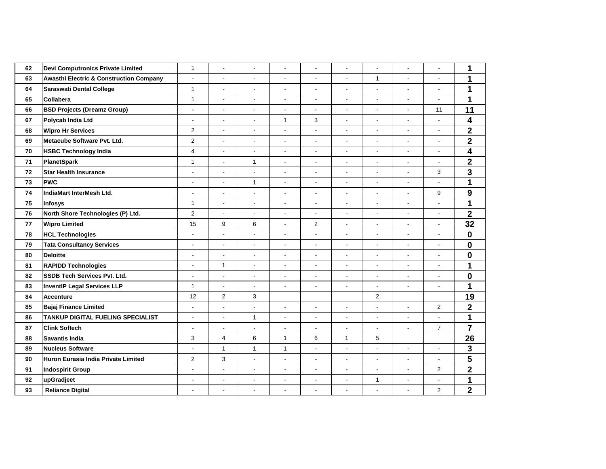| 62 | Devi Computronics Private Limited                  | $\mathbf{1}$             | $\overline{a}$           | $\blacksquare$           | $\blacksquare$           | $\blacksquare$           | ÷,             | $\blacksquare$           | $\overline{a}$           | $\tilde{\phantom{a}}$    | 1                       |
|----|----------------------------------------------------|--------------------------|--------------------------|--------------------------|--------------------------|--------------------------|----------------|--------------------------|--------------------------|--------------------------|-------------------------|
| 63 | <b>Awasthi Electric &amp; Construction Company</b> | $\blacksquare$           | $\overline{a}$           | $\blacksquare$           | ÷.                       | $\overline{\phantom{a}}$ | $\overline{a}$ | $\mathbf{1}$             | $\overline{a}$           | $\blacksquare$           | 1                       |
| 64 | <b>Saraswati Dental College</b>                    | $\mathbf{1}$             | $\blacksquare$           | $\overline{\phantom{a}}$ | $\overline{\phantom{0}}$ | $\overline{\phantom{a}}$ | ٠              | $\blacksquare$           | $\overline{\phantom{a}}$ |                          | 1                       |
| 65 | <b>Collabera</b>                                   | $\mathbf{1}$             | ÷,                       | $\blacksquare$           | $\blacksquare$           | $\overline{\phantom{a}}$ | $\blacksquare$ | $\blacksquare$           | $\blacksquare$           | $\blacksquare$           | 1                       |
| 66 | <b>BSD Projects (Dreamz Group)</b>                 | $\blacksquare$           | $\overline{a}$           | $\blacksquare$           | $\blacksquare$           | $\blacksquare$           | $\blacksquare$ | $\blacksquare$           | $\blacksquare$           | 11                       | 11                      |
| 67 | Polycab India Ltd                                  | $\overline{a}$           | $\blacksquare$           | $\overline{\phantom{a}}$ | $\mathbf{1}$             | 3                        | ÷,             | $\blacksquare$           | $\overline{a}$           | $\overline{a}$           | 4                       |
| 68 | <b>Wipro Hr Services</b>                           | $\overline{2}$           | $\overline{a}$           | $\blacksquare$           | $\blacksquare$           | $\blacksquare$           | $\blacksquare$ | $\blacksquare$           | $\blacksquare$           | $\blacksquare$           | $\overline{\mathbf{2}}$ |
| 69 | Metacube Software Pvt. Ltd.                        | $\overline{2}$           | $\blacksquare$           | $\blacksquare$           | $\blacksquare$           | $\blacksquare$           | $\blacksquare$ | $\blacksquare$           | $\overline{a}$           | $\blacksquare$           | $\overline{2}$          |
| 70 | <b>HSBC Technology India</b>                       | 4                        | $\overline{a}$           | $\blacksquare$           | L.                       | $\blacksquare$           | $\overline{a}$ | $\blacksquare$           | $\overline{a}$           |                          | 4                       |
| 71 | <b>PlanetSpark</b>                                 | $\mathbf{1}$             | ÷,                       | $\mathbf{1}$             | $\blacksquare$           | $\overline{\phantom{a}}$ | $\blacksquare$ | $\blacksquare$           | $\overline{\phantom{a}}$ | $\blacksquare$           | $\overline{\mathbf{2}}$ |
| 72 | <b>Star Health Insurance</b>                       | $\blacksquare$           | $\blacksquare$           | $\blacksquare$           | $\blacksquare$           | $\blacksquare$           | $\blacksquare$ | $\blacksquare$           | $\overline{\phantom{a}}$ | 3                        | 3                       |
| 73 | <b>PWC</b>                                         | $\blacksquare$           | $\overline{a}$           | $\mathbf{1}$             | Ĭ.                       | $\overline{\phantom{a}}$ | $\blacksquare$ | $\blacksquare$           | $\overline{a}$           |                          | $\mathbf 1$             |
| 74 | IndiaMart InterMesh Ltd.                           | $\blacksquare$           | $\overline{a}$           | $\blacksquare$           | $\blacksquare$           | $\blacksquare$           | $\blacksquare$ | $\blacksquare$           | $\blacksquare$           | 9                        | $\boldsymbol{9}$        |
| 75 | <b>Infosys</b>                                     | $\mathbf{1}$             | $\blacksquare$           | $\blacksquare$           | $\blacksquare$           | $\blacksquare$           | $\blacksquare$ | $\blacksquare$           | $\blacksquare$           | $\blacksquare$           | 1                       |
| 76 | North Shore Technologies (P) Ltd.                  | $\overline{c}$           | ÷,                       | $\blacksquare$           | $\overline{a}$           | $\blacksquare$           | $\overline{a}$ | $\overline{a}$           | $\overline{a}$           |                          | $\overline{\mathbf{2}}$ |
| 77 | <b>Wipro Limited</b>                               | 15                       | 9                        | 6                        | $\blacksquare$           | $\overline{2}$           | $\blacksquare$ | $\overline{\phantom{a}}$ | $\blacksquare$           | $\overline{\phantom{a}}$ | 32                      |
| 78 | <b>HCL Technologies</b>                            | $\blacksquare$           | $\frac{1}{2}$            | $\overline{\phantom{a}}$ | $\blacksquare$           | $\blacksquare$           | $\blacksquare$ | $\blacksquare$           | $\overline{\phantom{a}}$ | $\blacksquare$           | $\mathbf 0$             |
| 79 | <b>Tata Consultancy Services</b>                   | $\blacksquare$           | $\overline{a}$           | $\blacksquare$           | $\overline{a}$           |                          | $\blacksquare$ | $\blacksquare$           | $\overline{a}$           |                          | $\mathbf 0$             |
| 80 | <b>Deloitte</b>                                    | $\blacksquare$           | $\overline{a}$           | $\blacksquare$           | $\blacksquare$           | $\blacksquare$           | $\blacksquare$ | $\blacksquare$           | $\blacksquare$           | $\blacksquare$           | $\mathbf 0$             |
| 81 | <b>RAPIDD Technologies</b>                         | $\blacksquare$           | $\mathbf{1}$             | $\blacksquare$           | $\blacksquare$           | $\blacksquare$           | $\blacksquare$ | $\blacksquare$           | $\blacksquare$           | $\blacksquare$           | 1                       |
| 82 | SSDB Tech Services Pvt. Ltd.                       | ÷,                       | ÷,                       | $\overline{\phantom{a}}$ | ÷,                       |                          | ÷,             | $\overline{a}$           | $\overline{a}$           |                          | $\mathbf 0$             |
| 83 | <b>InventIP Legal Services LLP</b>                 | $\mathbf{1}$             | $\overline{\phantom{a}}$ | $\overline{\phantom{a}}$ | $\blacksquare$           | $\blacksquare$           | $\blacksquare$ | $\blacksquare$           | $\blacksquare$           | $\overline{\phantom{a}}$ | 1                       |
| 84 | <b>Accenture</b>                                   | 12                       | 2                        | 3                        |                          |                          |                | $\overline{2}$           |                          |                          | 19                      |
| 85 | <b>Bajaj Finance Limited</b>                       | $\blacksquare$           | $\overline{a}$           | $\blacksquare$           | $\overline{a}$           | $\blacksquare$           | $\overline{a}$ | $\blacksquare$           | $\overline{a}$           | $\overline{2}$           | $\mathbf 2$             |
| 86 | TANKUP DIGITAL FUELING SPECIALIST                  | $\overline{\phantom{a}}$ | ÷,                       | $\mathbf{1}$             | $\blacksquare$           | $\blacksquare$           | $\blacksquare$ | $\blacksquare$           | $\blacksquare$           | $\mathbf{r}$             | $\mathbf 1$             |
| 87 | <b>Clink Softech</b>                               | $\overline{a}$           | ÷,                       | ÷,                       | L.                       | $\blacksquare$           | $\blacksquare$ | $\blacksquare$           | $\blacksquare$           | $\overline{7}$           | $\overline{7}$          |
| 88 | <b>Savantis India</b>                              | 3                        | $\overline{\mathbf{4}}$  | 6                        | $\mathbf{1}$             | 6                        | $\mathbf{1}$   | 5                        |                          |                          | 26                      |
| 89 | <b>Nucleus Software</b>                            | $\blacksquare$           | $\mathbf{1}$             | $\mathbf{1}$             | $\mathbf{1}$             | $\blacksquare$           | $\blacksquare$ | $\overline{\phantom{a}}$ | $\overline{\phantom{a}}$ | $\blacksquare$           | 3                       |
| 90 | Huron Eurasia India Private Limited                | $\overline{2}$           | 3                        | $\blacksquare$           | ÷.                       | $\blacksquare$           | $\blacksquare$ | $\blacksquare$           | $\blacksquare$           | $\blacksquare$           | 5                       |
| 91 | <b>Indospirit Group</b>                            | ÷,                       | $\overline{a}$           | $\blacksquare$           | $\overline{a}$           |                          | $\blacksquare$ | $\blacksquare$           | $\overline{a}$           | $\overline{2}$           | $\overline{\mathbf{2}}$ |
| 92 | upGradjeet                                         | $\blacksquare$           | ÷,                       | $\blacksquare$           | $\overline{a}$           | $\blacksquare$           | $\blacksquare$ | 1                        | ÷,                       | $\blacksquare$           | 1                       |
| 93 | <b>Reliance Digital</b>                            | $\blacksquare$           | $\overline{a}$           | $\blacksquare$           | L.                       | $\blacksquare$           | $\overline{a}$ | $\blacksquare$           | $\overline{a}$           | $\overline{c}$           | $\overline{\mathbf{2}}$ |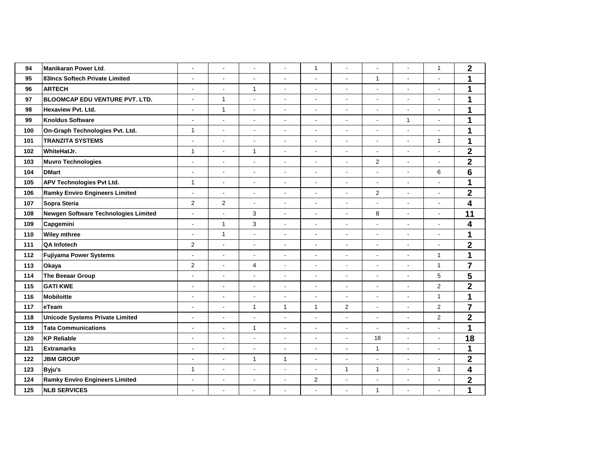| 94  | <b>Manikaran Power Ltd.</b>            | $\blacksquare$ | $\blacksquare$ | $\overline{\phantom{a}}$ | ÷,             | 1                        | ÷,                       | $\blacksquare$           | $\overline{a}$           | $\mathbf{1}$          | $\mathbf 2$             |
|-----|----------------------------------------|----------------|----------------|--------------------------|----------------|--------------------------|--------------------------|--------------------------|--------------------------|-----------------------|-------------------------|
| 95  | 83Incs Softech Private Limited         | $\blacksquare$ | $\blacksquare$ | $\blacksquare$           | $\blacksquare$ | $\overline{\phantom{a}}$ | $\blacksquare$           | $\mathbf{1}$             | $\overline{a}$           | $\blacksquare$        | 1                       |
| 96  | <b>ARTECH</b>                          | $\overline{a}$ | $\overline{a}$ | $\mathbf{1}$             | ÷,             | $\blacksquare$           | $\blacksquare$           | $\blacksquare$           | $\overline{a}$           |                       | $\mathbf{1}$            |
| 97  | <b>BLOOMCAP EDU VENTURE PVT. LTD.</b>  | $\blacksquare$ | $\mathbf{1}$   | $\blacksquare$           | $\blacksquare$ | $\overline{\phantom{a}}$ | $\overline{a}$           | $\blacksquare$           | ÷,                       | $\blacksquare$        | 1                       |
| 98  | <b>Hexaview Pvt. Ltd.</b>              | $\blacksquare$ | $\mathbf{1}$   | $\overline{\phantom{a}}$ | $\blacksquare$ | $\blacksquare$           | $\blacksquare$           | $\overline{\phantom{a}}$ | $\blacksquare$           | $\blacksquare$        | 1                       |
| 99  | <b>Knoldus Software</b>                | $\overline{a}$ | ÷,             | $\blacksquare$           | ÷,             | $\blacksquare$           | $\overline{a}$           | $\blacksquare$           | $\mathbf{1}$             |                       | $\mathbf 1$             |
| 100 | On-Graph Technologies Pvt. Ltd.        | $\mathbf{1}$   | $\overline{a}$ | $\blacksquare$           | ÷,             | $\blacksquare$           | ÷,                       | $\blacksquare$           | ÷,                       | $\tilde{\phantom{a}}$ | 1                       |
| 101 | <b>TRANZITA SYSTEMS</b>                | $\blacksquare$ | ÷,             | $\blacksquare$           | $\blacksquare$ | $\blacksquare$           | $\blacksquare$           | $\blacksquare$           | $\blacksquare$           | $\mathbf{1}$          | 1                       |
| 102 | WhiteHatJr.                            | $\mathbf{1}$   | $\overline{a}$ | $\mathbf{1}$             | ÷,             | $\blacksquare$           | $\blacksquare$           | $\blacksquare$           | $\overline{a}$           |                       | $\overline{\mathbf{2}}$ |
| 103 | <b>Muvro Technologies</b>              | $\blacksquare$ | $\blacksquare$ | $\blacksquare$           | $\blacksquare$ | $\overline{\phantom{a}}$ | $\overline{\phantom{a}}$ | $\overline{2}$           | $\blacksquare$           | $\blacksquare$        | $\overline{\mathbf{2}}$ |
| 104 | <b>DMart</b>                           | $\blacksquare$ | $\blacksquare$ | $\blacksquare$           | $\blacksquare$ | $\blacksquare$           | $\overline{\phantom{a}}$ | $\blacksquare$           | $\blacksquare$           | 6                     | $6\phantom{1}$          |
| 105 | <b>APV Technologies Pvt Ltd.</b>       | $\mathbf{1}$   | $\overline{a}$ | $\overline{\phantom{a}}$ | ÷,             | $\blacksquare$           | $\blacksquare$           | $\blacksquare$           | ÷,                       |                       | $\mathbf 1$             |
| 106 | <b>Ramky Enviro Engineers Limited</b>  | $\blacksquare$ | ÷,             | $\blacksquare$           | ÷,             | $\blacksquare$           | ÷,                       | $\overline{\mathbf{c}}$  | ÷,                       | $\tilde{\phantom{a}}$ | $\overline{\mathbf{2}}$ |
| 107 | Sopra Steria                           | $\overline{2}$ | $\overline{2}$ | $\blacksquare$           | $\blacksquare$ | $\blacksquare$           | $\blacksquare$           | $\blacksquare$           | $\overline{\phantom{a}}$ | $\blacksquare$        | 4                       |
| 108 | Newgen Software Technologies Limited   | $\overline{a}$ | $\overline{a}$ | 3                        | ÷,             | $\blacksquare$           | $\blacksquare$           | 8                        | $\overline{a}$           |                       | 11                      |
| 109 | Capgemini                              | $\blacksquare$ | $\mathbf{1}$   | 3                        | $\blacksquare$ | $\blacksquare$           | $\blacksquare$           | $\overline{\phantom{a}}$ | $\blacksquare$           | $\blacksquare$        | 4                       |
| 110 | <b>Wiley mthree</b>                    | $\blacksquare$ | $\mathbf{1}$   | $\blacksquare$           | $\blacksquare$ | $\blacksquare$           | $\overline{\phantom{a}}$ | $\blacksquare$           | $\blacksquare$           | $\tilde{\phantom{a}}$ | 1                       |
| 111 | <b>QA Infotech</b>                     | $\mathbf 2$    | ÷,             | $\overline{\phantom{a}}$ | ÷,             | $\overline{\phantom{a}}$ | $\overline{a}$           | $\blacksquare$           | ÷,                       | $\tilde{\phantom{a}}$ | $\overline{\mathbf{2}}$ |
| 112 | <b>Fujiyama Power Systems</b>          | ÷,             | ÷,             | $\blacksquare$           | ÷,             | $\blacksquare$           | $\overline{a}$           | $\blacksquare$           | ÷,                       | $\mathbf{1}$          | $\mathbf 1$             |
| 113 | Okaya                                  | $\overline{c}$ | ÷,             | 4                        | $\blacksquare$ | $\blacksquare$           | $\overline{\phantom{a}}$ | $\blacksquare$           | $\blacksquare$           | $\mathbf{1}$          | $\overline{7}$          |
| 114 | The Beeaar Group                       | $\overline{a}$ | $\overline{a}$ | $\overline{\phantom{a}}$ | Ĭ.             | $\overline{\phantom{a}}$ | $\blacksquare$           | $\overline{\phantom{a}}$ | $\overline{a}$           | 5                     | $\overline{\mathbf{5}}$ |
| 115 | <b>GATI KWE</b>                        | $\blacksquare$ | $\overline{a}$ | $\blacksquare$           | $\blacksquare$ | $\blacksquare$           | $\blacksquare$           | $\blacksquare$           | ÷,                       | $\overline{2}$        | $\overline{\mathbf{2}}$ |
| 116 | <b>Mobiloitte</b>                      | $\blacksquare$ | $\blacksquare$ | $\blacksquare$           | $\blacksquare$ | $\blacksquare$           | $\blacksquare$           | $\blacksquare$           | $\overline{\phantom{a}}$ | $\mathbf{1}$          | 1                       |
| 117 | eTeam                                  | $\overline{a}$ | $\overline{a}$ | 1                        | $\mathbf{1}$   | 1                        | 2                        | $\overline{a}$           | ÷,                       | $\overline{2}$        | $\overline{7}$          |
| 118 | <b>Unicode Systems Private Limited</b> | $\blacksquare$ | $\overline{a}$ | $\overline{a}$           | $\overline{a}$ | $\overline{\phantom{a}}$ | $\overline{a}$           | $\overline{a}$           | ÷,                       | $\mathbf 2$           | $\overline{\mathbf{2}}$ |
| 119 | <b>Tata Communications</b>             | $\blacksquare$ | ÷,             | $\mathbf{1}$             | $\blacksquare$ | $\blacksquare$           | $\blacksquare$           | $\blacksquare$           | $\blacksquare$           | $\tilde{\phantom{a}}$ | $\mathbf 1$             |
| 120 | <b>KP Reliable</b>                     | $\overline{a}$ | $\overline{a}$ | $\blacksquare$           | $\overline{a}$ | $\blacksquare$           | $\overline{a}$           | 18                       | $\overline{a}$           | ÷,                    | 18                      |
| 121 | <b>Extramarks</b>                      | $\blacksquare$ | $\overline{a}$ | $\blacksquare$           | $\blacksquare$ | $\blacksquare$           | $\blacksquare$           | $\mathbf{1}$             | $\blacksquare$           | $\blacksquare$        | $\mathbf 1$             |
| 122 | <b>JBM GROUP</b>                       | $\blacksquare$ | ÷,             | $\mathbf{1}$             | $\mathbf{1}$   | $\blacksquare$           | $\blacksquare$           | $\blacksquare$           | $\blacksquare$           | $\blacksquare$        | $\overline{2}$          |
| 123 | Byju's                                 | $\mathbf{1}$   | $\blacksquare$ | $\blacksquare$           | $\overline{a}$ | $\overline{\phantom{a}}$ | $\mathbf{1}$             | $\mathbf 1$              | $\overline{a}$           | $\mathbf{1}$          | 4                       |
| 124 | <b>Ramky Enviro Engineers Limited</b>  | $\blacksquare$ | $\overline{a}$ | ÷,                       | $\overline{a}$ | $\overline{c}$           | ÷,                       | $\overline{a}$           | ÷,                       | $\overline{a}$        | $\overline{\mathbf{2}}$ |
| 125 | <b>NLB SERVICES</b>                    | $\blacksquare$ | $\blacksquare$ | $\blacksquare$           | $\overline{a}$ |                          | $\overline{a}$           | $\mathbf{1}$             | $\blacksquare$           | $\blacksquare$        | 1                       |